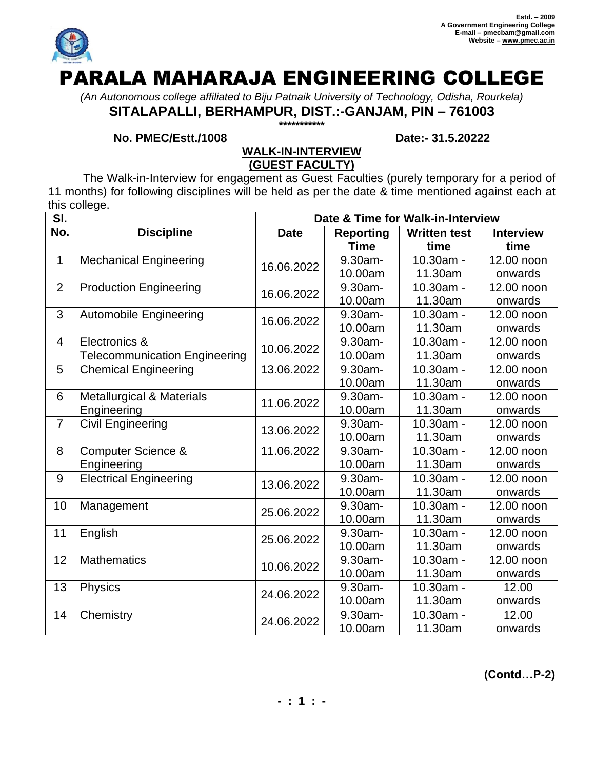

# PARALA MAHARAJA ENGINEERING COLLEGE

*(An Autonomous college affiliated to Biju Patnaik University of Technology, Odisha, Rourkela)* **SITALAPALLI, BERHAMPUR, DIST.:-GANJAM, PIN – 761003**

**\*\*\*\*\*\*\*\*\*\*\***

## **No. PMEC/Estt./1008 Date:- 31.5.20222**

## **WALK-IN-INTERVIEW (GUEST FACULTY)**

The Walk-in-Interview for engagement as Guest Faculties (purely temporary for a period of 11 months) for following disciplines will be held as per the date & time mentioned against each at this college.

| SI.            |                                      | Date & Time for Walk-in-Interview |                  |                     |                  |  |
|----------------|--------------------------------------|-----------------------------------|------------------|---------------------|------------------|--|
| No.            | <b>Discipline</b>                    | <b>Date</b>                       | <b>Reporting</b> | <b>Written test</b> | <b>Interview</b> |  |
|                |                                      |                                   | <b>Time</b>      | time                | time             |  |
| 1              | <b>Mechanical Engineering</b>        | 16.06.2022                        | 9.30am-          | 10.30am -           | 12.00 noon       |  |
|                |                                      |                                   | 10.00am          | 11.30am             | onwards          |  |
| $\overline{2}$ | <b>Production Engineering</b>        | 16.06.2022                        | 9.30am-          | 10.30am -           | 12.00 noon       |  |
|                |                                      |                                   | 10.00am          | 11.30am             | onwards          |  |
| 3              | <b>Automobile Engineering</b>        | 16.06.2022                        | 9.30am-          | 10.30am -           | 12.00 noon       |  |
|                |                                      |                                   | 10.00am          | 11.30am             | onwards          |  |
| $\overline{4}$ | Electronics &                        | 10.06.2022                        | 9.30am-          | 10.30am -           | 12.00 noon       |  |
|                | <b>Telecommunication Engineering</b> |                                   | 10.00am          | 11.30am             | onwards          |  |
| 5              | <b>Chemical Engineering</b>          | 13.06.2022                        | 9.30am-          | 10.30am -           | 12.00 noon       |  |
|                |                                      |                                   | 10.00am          | 11.30am             | onwards          |  |
| 6              | <b>Metallurgical &amp; Materials</b> | 11.06.2022                        | 9.30am-          | 10.30am -           | 12.00 noon       |  |
|                | Engineering                          |                                   | 10.00am          | 11.30am             | onwards          |  |
| $\overline{7}$ | <b>Civil Engineering</b>             | 13.06.2022                        | 9.30am-          | 10.30am -           | 12.00 noon       |  |
|                |                                      |                                   | 10.00am          | 11.30am             | onwards          |  |
| 8              | <b>Computer Science &amp;</b>        | 11.06.2022                        | 9.30am-          | 10.30am -           | 12.00 noon       |  |
|                | Engineering                          |                                   | 10.00am          | 11.30am             | onwards          |  |
| 9              | <b>Electrical Engineering</b>        | 13.06.2022                        | $9.30am -$       | 10.30am -           | 12.00 noon       |  |
|                |                                      |                                   | 10.00am          | 11.30am             | onwards          |  |
| 10             | Management                           | 25.06.2022                        | 9.30am-          | 10.30am -           | 12.00 noon       |  |
|                |                                      |                                   | 10.00am          | 11.30am             | onwards          |  |
| 11             | English                              | 25.06.2022                        | 9.30am-          | 10.30am -           | 12.00 noon       |  |
|                |                                      |                                   | 10.00am          | 11.30am             | onwards          |  |
| 12             | <b>Mathematics</b>                   | 10.06.2022                        | 9.30am-          | 10.30am -           | 12.00 noon       |  |
|                |                                      |                                   | 10.00am          | 11.30am             | onwards          |  |
| 13             | Physics                              | 24.06.2022                        | 9.30am-          | 10.30am -           | 12.00            |  |
|                |                                      |                                   | 10.00am          | 11.30am             | onwards          |  |
| 14             | Chemistry                            | 24.06.2022                        | 9.30am-          | 10.30am -           | 12.00            |  |
|                |                                      |                                   | 10.00am          | 11.30am             | onwards          |  |

**(Contd…P-2)**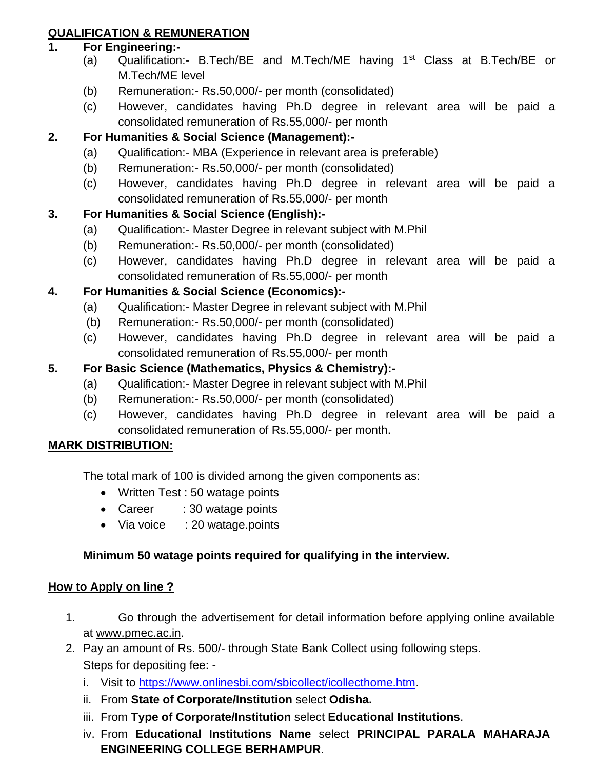# **QUALIFICATION & REMUNERATION**

## **1. For Engineering:-**

- (a) Qualification:- B.Tech/BE and M.Tech/ME having 1st Class at B.Tech/BE or M.Tech/ME level
- (b) Remuneration:- Rs.50,000/- per month (consolidated)
- (c) However, candidates having Ph.D degree in relevant area will be paid a consolidated remuneration of Rs.55,000/- per month

# **2. For Humanities & Social Science (Management):-**

- (a) Qualification:- MBA (Experience in relevant area is preferable)
- (b) Remuneration:- Rs.50,000/- per month (consolidated)
- (c) However, candidates having Ph.D degree in relevant area will be paid a consolidated remuneration of Rs.55,000/- per month

# **3. For Humanities & Social Science (English):-**

- (a) Qualification:- Master Degree in relevant subject with M.Phil
- (b) Remuneration:- Rs.50,000/- per month (consolidated)
- (c) However, candidates having Ph.D degree in relevant area will be paid a consolidated remuneration of Rs.55,000/- per month

# **4. For Humanities & Social Science (Economics):-**

- (a) Qualification:- Master Degree in relevant subject with M.Phil
- (b) Remuneration:- Rs.50,000/- per month (consolidated)
- (c) However, candidates having Ph.D degree in relevant area will be paid a consolidated remuneration of Rs.55,000/- per month

# **5. For Basic Science (Mathematics, Physics & Chemistry):-**

- (a) Qualification:- Master Degree in relevant subject with M.Phil
- (b) Remuneration:- Rs.50,000/- per month (consolidated)
- (c) However, candidates having Ph.D degree in relevant area will be paid a consolidated remuneration of Rs.55,000/- per month.

# **MARK DISTRIBUTION:**

The total mark of 100 is divided among the given components as:

- Written Test : 50 watage points
- Career : 30 watage points
- Via voice : 20 watage.points

# **Minimum 50 watage points required for qualifying in the interview.**

# **How to Apply on line ?**

- 1. Go through the advertisement for detail information before applying online available at [www.pmec.ac.in.](http://www.igitsarang.ac.in/)
- 2. Pay an amount of Rs. 500/- through State Bank Collect using following steps. Steps for depositing fee:
	- i. Visit to [https://www.onlinesbi.com/sbicollect/icollecthome.htm.](https://www.onlinesbi.com/sbicollect/icollecthome.htm)
	- ii. From **State of Corporate/Institution** select **Odisha.**
	- iii. From **Type of Corporate/Institution** select **Educational Institutions**.
	- iv. From **Educational Institutions Name** select **PRINCIPAL PARALA MAHARAJA ENGINEERING COLLEGE BERHAMPUR**.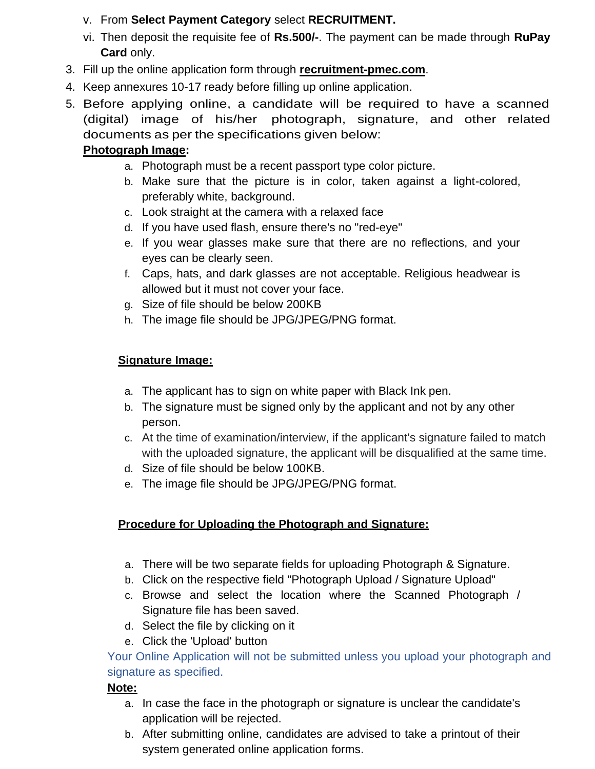# v. From **Select Payment Category** select **RECRUITMENT.**

- vi. Then deposit the requisite fee of **Rs.500/-**. The payment can be made through **RuPay Card** only.
- 3. Fill up the online application form through **recruitment-pmec.com**.
- 4. Keep annexures 10-17 ready before filling up online application.
- 5. Before applying online, a candidate will be required to have a scanned (digital) image of his/her photograph, signature, and other related documents as per the specifications given below:

# **Photograph Image:**

- a. Photograph must be a recent passport type color picture.
- b. Make sure that the picture is in color, taken against a light-colored, preferably white, background.
- c. Look straight at the camera with a relaxed face
- d. If you have used flash, ensure there's no "red-eye"
- e. If you wear glasses make sure that there are no reflections, and your eyes can be clearly seen.
- f. Caps, hats, and dark glasses are not acceptable. Religious headwear is allowed but it must not cover your face.
- g. Size of file should be below 200KB
- h. The image file should be JPG/JPEG/PNG format.

# **Signature Image:**

- a. The applicant has to sign on white paper with Black Ink pen.
- b. The signature must be signed only by the applicant and not by any other person.
- c. At the time of examination/interview, if the applicant's signature failed to match with the uploaded signature, the applicant will be disqualified at the same time.
- d. Size of file should be below 100KB.
- e. The image file should be JPG/JPEG/PNG format.

# **Procedure for Uploading the Photograph and Signature:**

- a. There will be two separate fields for uploading Photograph & Signature.
- b. Click on the respective field "Photograph Upload / Signature Upload"
- c. Browse and select the location where the Scanned Photograph / Signature file has been saved.
- d. Select the file by clicking on it
- e. Click the 'Upload' button

# Your Online Application will not be submitted unless you upload your photograph and signature as specified.

# **Note:**

- a. In case the face in the photograph or signature is unclear the candidate's application will be rejected.
- b. After submitting online, candidates are advised to take a printout of their system generated online application forms.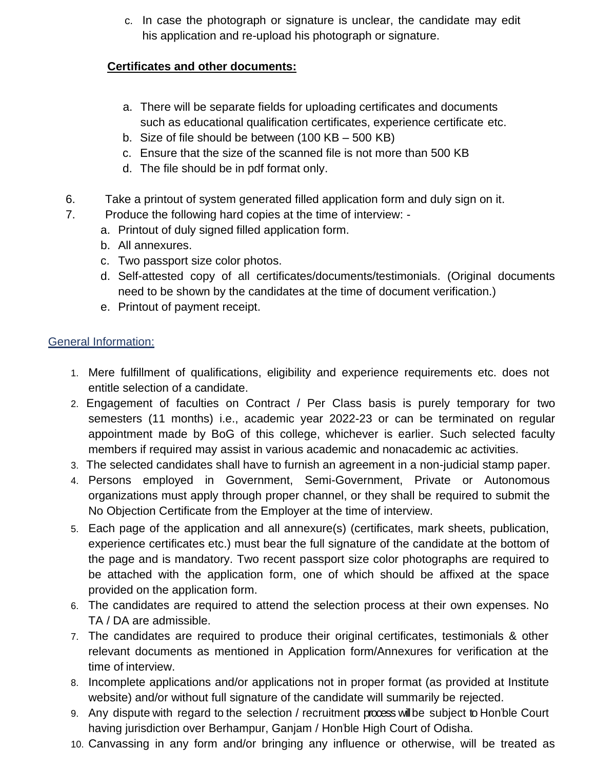c. In case the photograph or signature is unclear, the candidate may edit his application and re-upload his photograph or signature.

# **Certificates and other documents:**

- a. There will be separate fields for uploading certificates and documents such as educational qualification certificates, experience certificate etc.
- b. Size of file should be between (100 KB 500 KB)
- c. Ensure that the size of the scanned file is not more than 500 KB
- d. The file should be in pdf format only.
- 6. Take a printout of system generated filled application form and duly sign on it.
- 7. Produce the following hard copies at the time of interview:
	- a. Printout of duly signed filled application form.
	- b. All annexures.
	- c. Two passport size color photos.
	- d. Self-attested copy of all certificates/documents/testimonials. (Original documents need to be shown by the candidates at the time of document verification.)
	- e. Printout of payment receipt.

# General Information:

- 1. Mere fulfillment of qualifications, eligibility and experience requirements etc. does not entitle selection of a candidate.
- 2. Engagement of faculties on Contract / Per Class basis is purely temporary for two semesters (11 months) i.e., academic year 2022-23 or can be terminated on regular appointment made by BoG of this college, whichever is earlier. Such selected faculty members if required may assist in various academic and nonacademic ac activities.
- 3. The selected candidates shall have to furnish an agreement in a non-judicial stamp paper.
- 4. Persons employed in Government, Semi-Government, Private or Autonomous organizations must apply through proper channel, or they shall be required to submit the No Objection Certificate from the Employer at the time of interview.
- 5. Each page of the application and all annexure(s) (certificates, mark sheets, publication, experience certificates etc.) must bear the full signature of the candidate at the bottom of the page and is mandatory. Two recent passport size color photographs are required to be attached with the application form, one of which should be affixed at the space provided on the application form.
- 6. The candidates are required to attend the selection process at their own expenses. No TA / DA are admissible.
- 7. The candidates are required to produce their original certificates, testimonials & other relevant documents as mentioned in Application form/Annexures for verification at the time of interview.
- 8. Incomplete applications and/or applications not in proper format (as provided at Institute website) and/or without full signature of the candidate will summarily be rejected.
- 9. Any dispute with regard to the selection / recruitment process will be subject to Hon"ble Court having jurisdiction over Berhampur, Ganjam / Hon"ble High Court of Odisha.
- 10. Canvassing in any form and/or bringing any influence or otherwise, will be treated as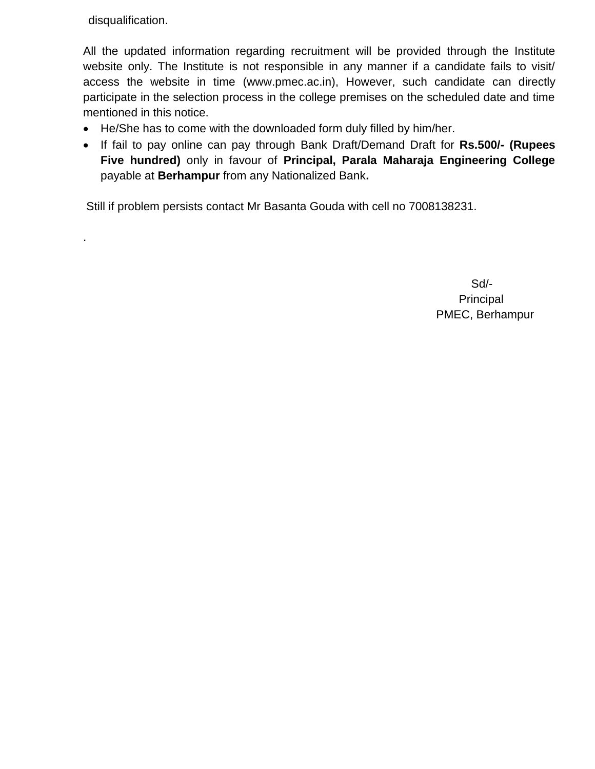disqualification.

.

All the updated information regarding recruitment will be provided through the Institute website only. The Institute is not responsible in any manner if a candidate fails to visit/ access the website in time [\(www.pmec.ac.in\)](http://www.igitsarang.ac.in/), However, such candidate can directly participate in the selection process in the college premises on the scheduled date and time mentioned in this notice.

- He/She has to come with the downloaded form duly filled by him/her.
- If fail to pay online can pay through Bank Draft/Demand Draft for **Rs.500/- (Rupees Five hundred)** only in favour of **Principal, Parala Maharaja Engineering College**  payable at **Berhampur** from any Nationalized Bank**.**

Still if problem persists contact Mr Basanta Gouda with cell no 7008138231.

 Sd/- Principal PMEC, Berhampur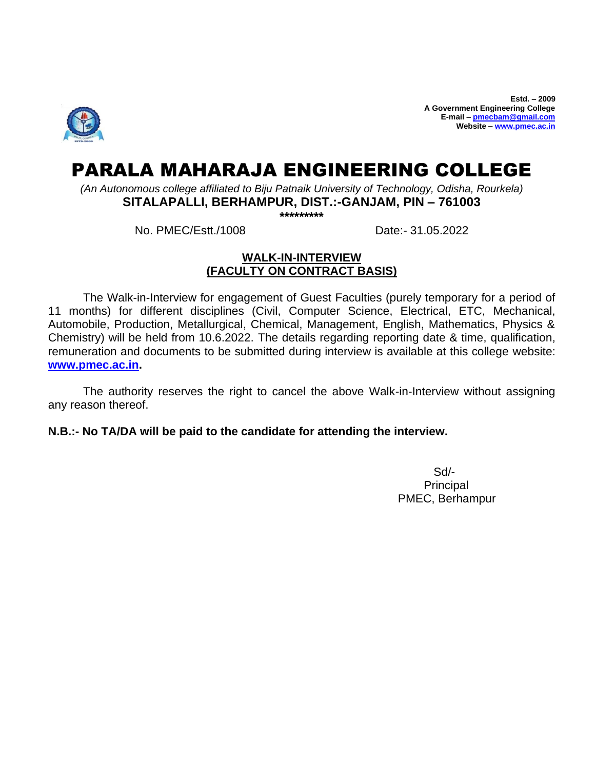

**Estd. – 2009 A Government Engineering College E-mail – [pmecbam@gmail.com](mailto:pmecbam@gmail.com) Website – [www.pmec.ac.in](http://www.pmec.ac.in/)**

# PARALA MAHARAJA ENGINEERING COLLEGE

*(An Autonomous college affiliated to Biju Patnaik University of Technology, Odisha, Rourkela)*

**SITALAPALLI, BERHAMPUR, DIST.:-GANJAM, PIN – 761003**

**\*\*\*\*\*\*\*\*\***

No. PMEC/Estt./1008 Date:- 31.05.2022

## **WALK-IN-INTERVIEW (FACULTY ON CONTRACT BASIS)**

The Walk-in-Interview for engagement of Guest Faculties (purely temporary for a period of 11 months) for different disciplines (Civil, Computer Science, Electrical, ETC, Mechanical, Automobile, Production, Metallurgical, Chemical, Management, English, Mathematics, Physics & Chemistry) will be held from 10.6.2022. The details regarding reporting date & time, qualification, remuneration and documents to be submitted during interview is available at this college website: **[www.pmec.ac.in.](http://www.pmec.ac.in/)** 

The authority reserves the right to cancel the above Walk-in-Interview without assigning any reason thereof.

**N.B.:- No TA/DA will be paid to the candidate for attending the interview.**

 Sd/- Principal PMEC, Berhampur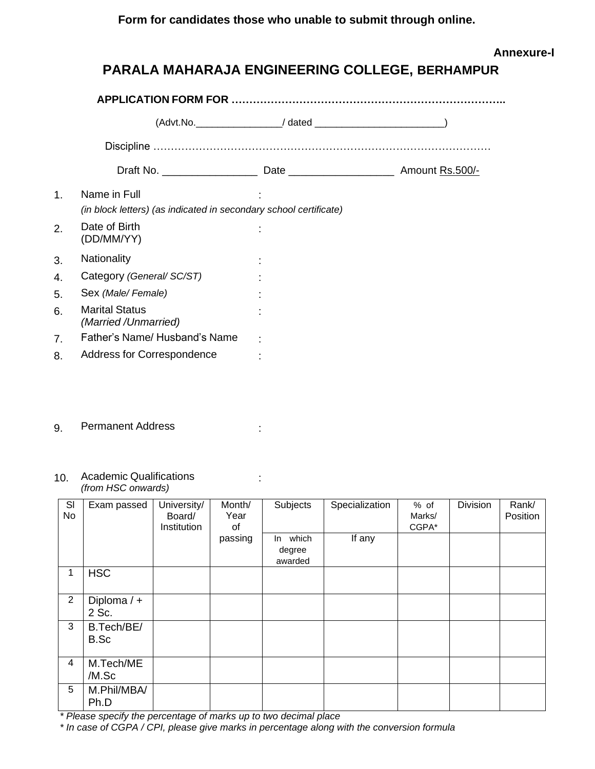**Form for candidates those who unable to submit through online.**

## **Annexure-I**

# **PARALA MAHARAJA ENGINEERING COLLEGE, BERHAMPUR**

|                | Draft No. ___________________                                                     |  |  |  |  |
|----------------|-----------------------------------------------------------------------------------|--|--|--|--|
| $\mathbf{1}$ . | Name in Full<br>(in block letters) (as indicated in secondary school certificate) |  |  |  |  |
| 2.             | Date of Birth<br>(DD/MM/YY)                                                       |  |  |  |  |
| 3.             | Nationality                                                                       |  |  |  |  |
| 4.             | Category (General/ SC/ST)                                                         |  |  |  |  |
| 5.             | Sex (Male/Female)                                                                 |  |  |  |  |
| 6.             | <b>Marital Status</b><br>(Married /Unmarried)                                     |  |  |  |  |
| 7 <sub>1</sub> | Father's Name/ Husband's Name                                                     |  |  |  |  |
| 8.             | <b>Address for Correspondence</b>                                                 |  |  |  |  |

g. Permanent Address in the settlement Address

#### 10. Academic Qualifications *(from HSC onwards)*

| SI<br>No | Exam passed            | University/<br>Board/<br>Institution | Month/<br>Year<br>0f | <b>Subjects</b>                  | Specialization | % of<br>Marks/<br>CGPA* | <b>Division</b> | Rank/<br>Position |
|----------|------------------------|--------------------------------------|----------------------|----------------------------------|----------------|-------------------------|-----------------|-------------------|
|          |                        |                                      | passing              | which<br>In<br>degree<br>awarded | If any         |                         |                 |                   |
| 1        | <b>HSC</b>             |                                      |                      |                                  |                |                         |                 |                   |
| 2        | Diploma $/ +$<br>2 Sc. |                                      |                      |                                  |                |                         |                 |                   |
| 3        | B.Tech/BE/<br>B.Sc     |                                      |                      |                                  |                |                         |                 |                   |
| 4        | M.Tech/ME<br>/M.Sc     |                                      |                      |                                  |                |                         |                 |                   |
| 5        | M.Phil/MBA/<br>Ph.D    |                                      |                      |                                  |                |                         |                 |                   |

*\* Please specify the percentage of marks up to two decimal place*

*\* In case of CGPA / CPI, please give marks in percentage along with the conversion formula*

: